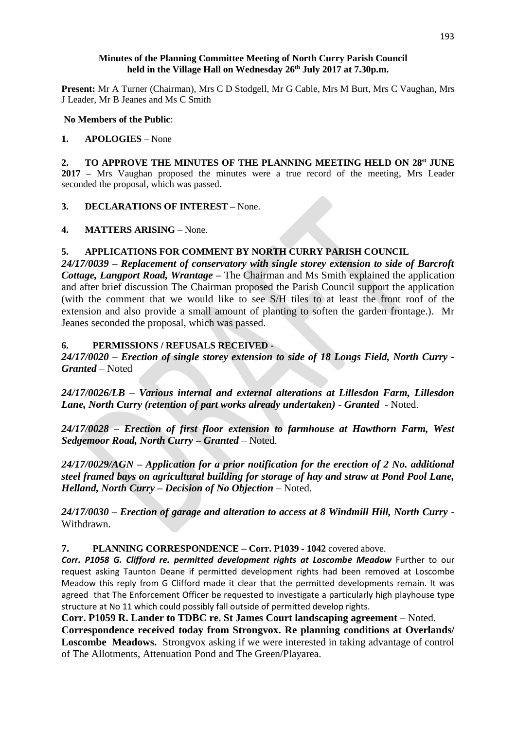## **Minutes of the Planning Committee Meeting of North Curry Parish Council held in the Village Hall on Wednesday 26 th July 2017 at 7.30p.m.**

**Present:** Mr A Turner (Chairman), Mrs C D Stodgell, Mr G Cable, Mrs M Burt, Mrs C Vaughan, Mrs J Leader, Mr B Jeanes and Ms C Smith

#### **No Members of the Public**:

# **1. APOLOGIES** – None

**2. TO APPROVE THE MINUTES OF THE PLANNING MEETING HELD ON 28st JUNE 2017 –** Mrs Vaughan proposed the minutes were a true record of the meeting, Mrs Leader seconded the proposal, which was passed.

**3. DECLARATIONS OF INTEREST –** None.

**4. MATTERS ARISING** – None.

# **5. APPLICATIONS FOR COMMENT BY NORTH CURRY PARISH COUNCIL**

*24/17/0039 – Replacement of conservatory with single storey extension to side of Barcroft Cottage, Langport Road, Wrantage –* The Chairman and Ms Smith explained the application and after brief discussion The Chairman proposed the Parish Council support the application (with the comment that we would like to see S/H tiles to at least the front roof of the extension and also provide a small amount of planting to soften the garden frontage.). Mr Jeanes seconded the proposal, which was passed.

## **6. PERMISSIONS / REFUSALS RECEIVED -**

*24/17/0020 – Erection of single storey extension to side of 18 Longs Field, North Curry - Granted* – Noted

*24/17/0026/LB – Various internal and external alterations at Lillesdon Farm, Lillesdon Lane, North Curry (retention of part works already undertaken)* - *Granted* - Noted.

*24/17/0028 – Erection of first floor extension to farmhouse at Hawthorn Farm, West Sedgemoor Road, North Curry – Granted* – Noted.

*24/17/0029/AGN – Application for a prior notification for the erection of 2 No. additional steel framed bays on agricultural building for storage of hay and straw at Pond Pool Lane, Helland, North Curry – Decision of No Objection* – Noted.

*24/17/0030 – Erection of garage and alteration to access at 8 Windmill Hill, North Curry* - Withdrawn.

**7. PLANNING CORRESPONDENCE – Corr. P1039 - 1042** covered above.

*Corr. P1058 G. Clifford re. permitted development rights at Loscombe Meadow* Further to our request asking Taunton Deane if permitted development rights had been removed at Loscombe Meadow this reply from G Clifford made it clear that the permitted developments remain. It was agreed that The Enforcement Officer be requested to investigate a particularly high playhouse type structure at No 11 which could possibly fall outside of permitted develop rights.

**Corr. P1059 R. Lander to TDBC re. St James Court landscaping agreement** – Noted.

**Correspondence received today from Strongvox. Re planning conditions at Overlands/ Loscombe Meadows.** Strongvox asking if we were interested in taking advantage of control of The Allotments, Attenuation Pond and The Green/Playarea.